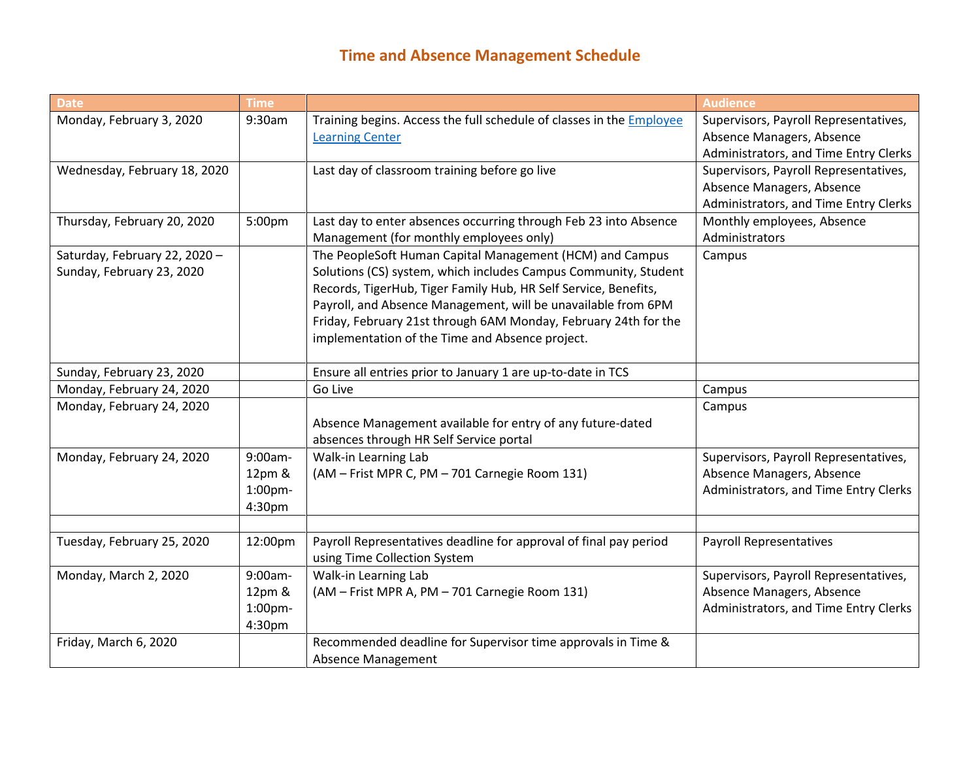## **Time and Absence Management Schedule**

| <b>Date</b>                   | <b>Time</b> |                                                                      | <b>Audience</b>                       |
|-------------------------------|-------------|----------------------------------------------------------------------|---------------------------------------|
| Monday, February 3, 2020      | 9:30am      | Training begins. Access the full schedule of classes in the Employee | Supervisors, Payroll Representatives, |
|                               |             | <b>Learning Center</b>                                               | Absence Managers, Absence             |
|                               |             |                                                                      | Administrators, and Time Entry Clerks |
| Wednesday, February 18, 2020  |             | Last day of classroom training before go live                        | Supervisors, Payroll Representatives, |
|                               |             |                                                                      | Absence Managers, Absence             |
|                               |             |                                                                      | Administrators, and Time Entry Clerks |
| Thursday, February 20, 2020   | 5:00pm      | Last day to enter absences occurring through Feb 23 into Absence     | Monthly employees, Absence            |
|                               |             | Management (for monthly employees only)                              | Administrators                        |
| Saturday, February 22, 2020 - |             | The PeopleSoft Human Capital Management (HCM) and Campus             | Campus                                |
| Sunday, February 23, 2020     |             | Solutions (CS) system, which includes Campus Community, Student      |                                       |
|                               |             | Records, TigerHub, Tiger Family Hub, HR Self Service, Benefits,      |                                       |
|                               |             | Payroll, and Absence Management, will be unavailable from 6PM        |                                       |
|                               |             | Friday, February 21st through 6AM Monday, February 24th for the      |                                       |
|                               |             | implementation of the Time and Absence project.                      |                                       |
|                               |             |                                                                      |                                       |
| Sunday, February 23, 2020     |             | Ensure all entries prior to January 1 are up-to-date in TCS          |                                       |
| Monday, February 24, 2020     |             | Go Live                                                              | Campus                                |
| Monday, February 24, 2020     |             |                                                                      | Campus                                |
|                               |             | Absence Management available for entry of any future-dated           |                                       |
|                               |             | absences through HR Self Service portal                              |                                       |
| Monday, February 24, 2020     | 9:00am-     | Walk-in Learning Lab                                                 | Supervisors, Payroll Representatives, |
|                               | 12pm &      | (AM - Frist MPR C, PM - 701 Carnegie Room 131)                       | Absence Managers, Absence             |
|                               | $1:00$ pm-  |                                                                      | Administrators, and Time Entry Clerks |
|                               | 4:30pm      |                                                                      |                                       |
|                               |             |                                                                      |                                       |
| Tuesday, February 25, 2020    | 12:00pm     | Payroll Representatives deadline for approval of final pay period    | <b>Payroll Representatives</b>        |
|                               |             | using Time Collection System                                         |                                       |
| Monday, March 2, 2020         | 9:00am-     | Walk-in Learning Lab                                                 | Supervisors, Payroll Representatives, |
|                               | 12pm &      | (AM - Frist MPR A, PM - 701 Carnegie Room 131)                       | Absence Managers, Absence             |
|                               | 1:00pm-     |                                                                      | Administrators, and Time Entry Clerks |
|                               | 4:30pm      |                                                                      |                                       |
| Friday, March 6, 2020         |             | Recommended deadline for Supervisor time approvals in Time &         |                                       |
|                               |             | <b>Absence Management</b>                                            |                                       |